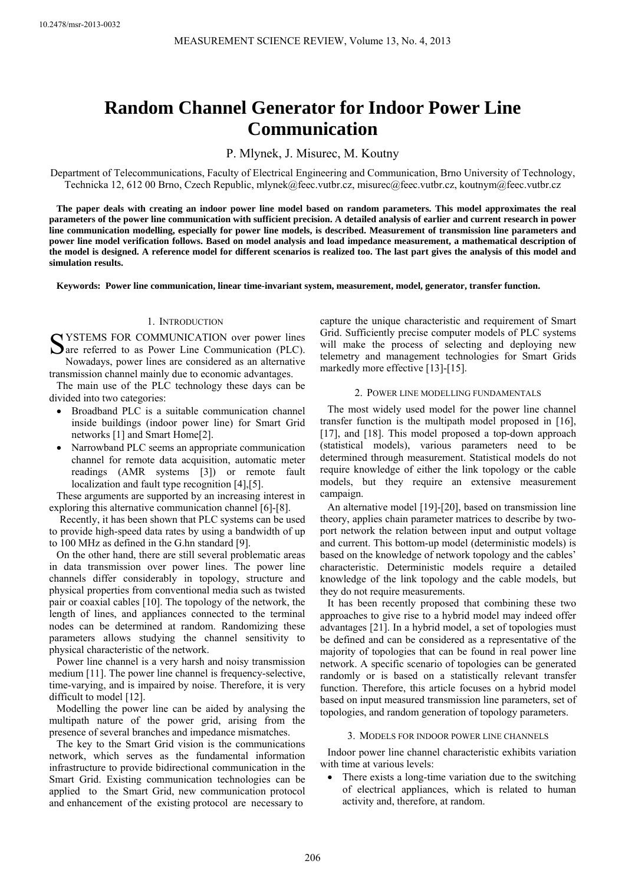# **Random Channel Generator for Indoor Power Line Communication**

P. Mlynek, J. Misurec, M. Koutny

Department of Telecommunications, Faculty of Electrical Engineering and Communication, Brno University of Technology, Technicka 12, 612 00 Brno, Czech Republic, mlynek@feec.vutbr.cz, misurec@feec.vutbr.cz, koutnym@feec.vutbr.cz

**The paper deals with creating an indoor power line model based on random parameters. This model approximates the real parameters of the power line communication with sufficient precision. A detailed analysis of earlier and current research in power line communication modelling, especially for power line models, is described. Measurement of transmission line parameters and power line model verification follows. Based on model analysis and load impedance measurement, a mathematical description of the model is designed. A reference model for different scenarios is realized too. The last part gives the analysis of this model and simulation results.** 

**Keywords: Power line communication, linear time-invariant system, measurement, model, generator, transfer function.** 

# 1. INTRODUCTION

SYSTEMS FOR COMMUNICATION over power lines<br>
Save referred to as Power Line Communication (PLC). **D**are referred to as Power Line Communication (PLC).

Nowadays, power lines are considered as an alternative transmission channel mainly due to economic advantages.

The main use of the PLC technology these days can be divided into two categories:

- Broadband PLC is a suitable communication channel inside buildings (indoor power line) for Smart Grid networks [1] and Smart Home[2].
- Narrowband PLC seems an appropriate communication channel for remote data acquisition, automatic meter readings (AMR systems [3]) or remote fault localization and fault type recognition [4], [5].

These arguments are supported by an increasing interest in exploring this alternative communication channel [6]-[8].

Recently, it has been shown that PLC systems can be used to provide high-speed data rates by using a bandwidth of up to 100 MHz as defined in the G.hn standard [9].

On the other hand, there are still several problematic areas in data transmission over power lines. The power line channels differ considerably in topology, structure and physical properties from conventional media such as twisted pair or coaxial cables [10]. The topology of the network, the length of lines, and appliances connected to the terminal nodes can be determined at random. Randomizing these parameters allows studying the channel sensitivity to physical characteristic of the network.

Power line channel is a very harsh and noisy transmission medium [11]. The power line channel is frequency-selective, time-varying, and is impaired by noise. Therefore, it is very difficult to model [12].

Modelling the power line can be aided by analysing the multipath nature of the power grid, arising from the presence of several branches and impedance mismatches.

The key to the Smart Grid vision is the communications network, which serves as the fundamental information infrastructure to provide bidirectional communication in the Smart Grid. Existing communication technologies can be applied to the Smart Grid, new communication protocol and enhancement of the existing protocol are necessary to

capture the unique characteristic and requirement of Smart Grid. Sufficiently precise computer models of PLC systems will make the process of selecting and deploying new telemetry and management technologies for Smart Grids markedly more effective [13]-[15].

# 2. POWER LINE MODELLING FUNDAMENTALS

The most widely used model for the power line channel transfer function is the multipath model proposed in [16], [17], and [18]. This model proposed a top-down approach (statistical models), various parameters need to be determined through measurement. Statistical models do not require knowledge of either the link topology or the cable models, but they require an extensive measurement campaign.

An alternative model [19]-[20], based on transmission line theory, applies chain parameter matrices to describe by twoport network the relation between input and output voltage and current. This bottom-up model (deterministic models) is based on the knowledge of network topology and the cables' characteristic. Deterministic models require a detailed knowledge of the link topology and the cable models, but they do not require measurements.

It has been recently proposed that combining these two approaches to give rise to a hybrid model may indeed offer advantages [21]. In a hybrid model, a set of topologies must be defined and can be considered as a representative of the majority of topologies that can be found in real power line network. A specific scenario of topologies can be generated randomly or is based on a statistically relevant transfer function. Therefore, this article focuses on a hybrid model based on input measured transmission line parameters, set of topologies, and random generation of topology parameters.

#### 3. MODELS FOR INDOOR POWER LINE CHANNELS

Indoor power line channel characteristic exhibits variation with time at various levels:

There exists a long-time variation due to the switching of electrical appliances, which is related to human activity and, therefore, at random.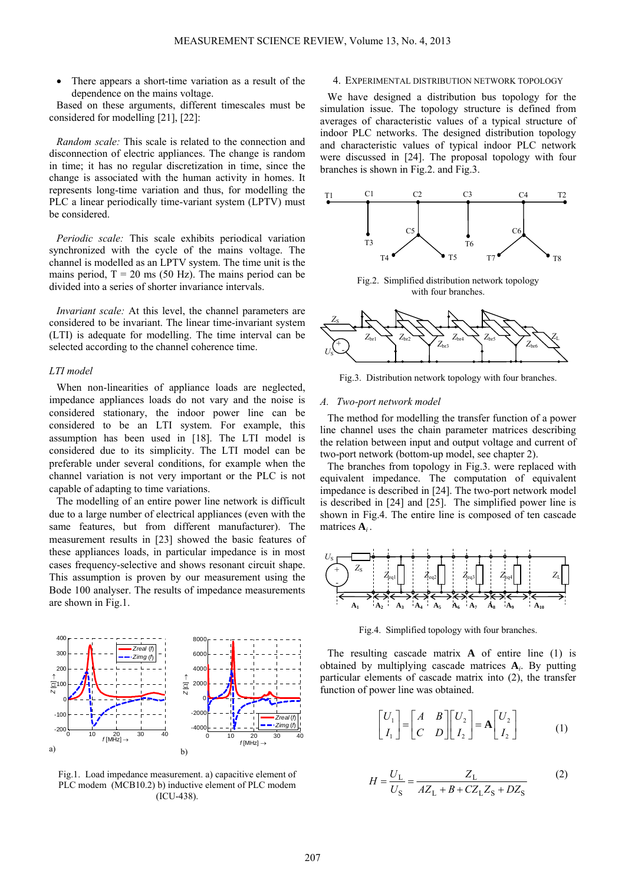There appears a short-time variation as a result of the dependence on the mains voltage.

Based on these arguments, different timescales must be considered for modelling [21], [22]:

*Random scale:* This scale is related to the connection and disconnection of electric appliances. The change is random in time; it has no regular discretization in time, since the change is associated with the human activity in homes. It represents long-time variation and thus, for modelling the PLC a linear periodically time-variant system (LPTV) must be considered.

*Periodic scale:* This scale exhibits periodical variation synchronized with the cycle of the mains voltage. The channel is modelled as an LPTV system. The time unit is the mains period,  $T = 20$  ms (50 Hz). The mains period can be divided into a series of shorter invariance intervals.

*Invariant scale:* At this level, the channel parameters are considered to be invariant. The linear time-invariant system (LTI) is adequate for modelling. The time interval can be selected according to the channel coherence time.

## *LTI model*

When non-linearities of appliance loads are neglected, impedance appliances loads do not vary and the noise is considered stationary, the indoor power line can be considered to be an LTI system. For example, this assumption has been used in [18]. The LTI model is considered due to its simplicity. The LTI model can be preferable under several conditions, for example when the channel variation is not very important or the PLC is not capable of adapting to time variations.

The modelling of an entire power line network is difficult due to a large number of electrical appliances (even with the same features, but from different manufacturer). The measurement results in [23] showed the basic features of these appliances loads, in particular impedance is in most cases frequency-selective and shows resonant circuit shape. This assumption is proven by our measurement using the Bode 100 analyser. The results of impedance measurements are shown in Fig.1.



Fig.1. Load impedance measurement. a) capacitive element of PLC modem (MCB10.2) b) inductive element of PLC modem (ICU-438).

### 4. EXPERIMENTAL DISTRIBUTION NETWORK TOPOLOGY

We have designed a distribution bus topology for the simulation issue. The topology structure is defined from averages of characteristic values of a typical structure of indoor PLC networks. The designed distribution topology and characteristic values of typical indoor PLC network were discussed in [24]. The proposal topology with four branches is shown in Fig.2. and Fig.3.



Fig.2. Simplified distribution network topology with four branches.



Fig.3. Distribution network topology with four branches.

#### *A. Two-port network model*

The method for modelling the transfer function of a power line channel uses the chain parameter matrices describing the relation between input and output voltage and current of two-port network (bottom-up model, see chapter 2).

The branches from topology in Fig.3. were replaced with equivalent impedance. The computation of equivalent impedance is described in [24]. The two-port network model is described in [24] and [25]. The simplified power line is shown in Fig.4. The entire line is composed of ten cascade matrices **A***i* .



Fig.4. Simplified topology with four branches.

The resulting cascade matrix **A** of entire line (1) is obtained by multiplying cascade matrices **A***i*. By putting particular elements of cascade matrix into (2), the transfer function of power line was obtained.

$$
\begin{bmatrix} U_1 \\ I_1 \end{bmatrix} = \begin{bmatrix} A & B \\ C & D \end{bmatrix} \begin{bmatrix} U_2 \\ I_2 \end{bmatrix} = \mathbf{A} \begin{bmatrix} U_2 \\ I_2 \end{bmatrix}
$$
 (1)

$$
H = \frac{U_{\rm L}}{U_{\rm S}} = \frac{Z_{\rm L}}{AZ_{\rm L} + B + CZ_{\rm L}Z_{\rm S} + DZ_{\rm S}}
$$
 (2)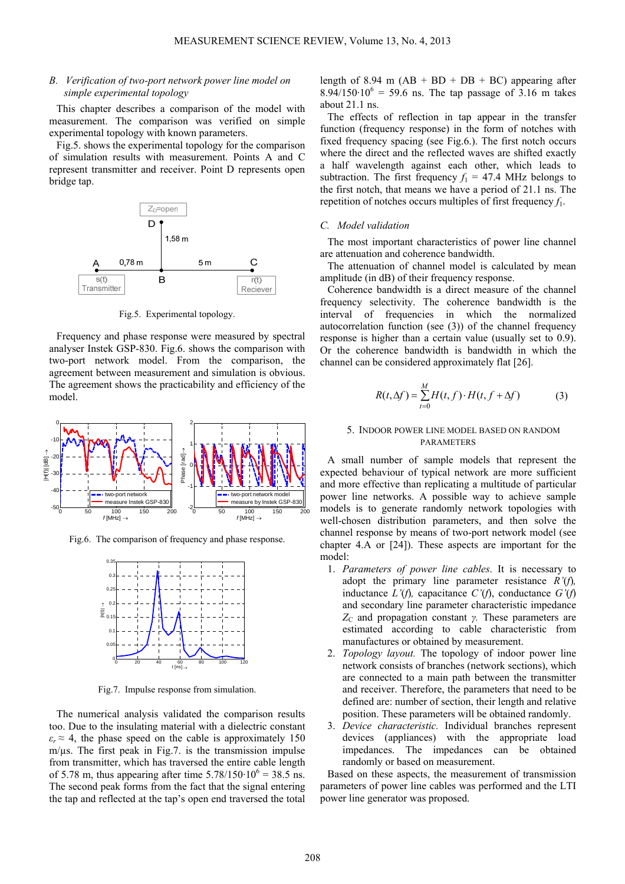# *B. Verification of two-port network power line model on simple experimental topology*

This chapter describes a comparison of the model with measurement. The comparison was verified on simple experimental topology with known parameters.

Fig.5. shows the experimental topology for the comparison of simulation results with measurement. Points A and C represent transmitter and receiver. Point D represents open bridge tap.



Fig.5. Experimental topology.

Frequency and phase response were measured by spectral analyser Instek GSP-830. Fig.6. shows the comparison with two-port network model. From the comparison, the agreement between measurement and simulation is obvious. The agreement shows the practicability and efficiency of the model.



Fig.6. The comparison of frequency and phase response.



Fig.7. Impulse response from simulation.

The numerical analysis validated the comparison results too. Due to the insulating material with a dielectric constant  $\varepsilon_r \approx 4$ , the phase speed on the cable is approximately 150  $m/\mu s$ . The first peak in Fig.7. is the transmission impulse from transmitter, which has traversed the entire cable length of 5.78 m, thus appearing after time  $5.78/150 \cdot 10^6 = 38.5$  ns. The second peak forms from the fact that the signal entering the tap and reflected at the tap's open end traversed the total

length of 8.94 m  $(AB + BD + DB + BC)$  appearing after  $8.94/150 \cdot 10^{6} = 59.6$  ns. The tap passage of 3.16 m takes about 21.1 ns.

The effects of reflection in tap appear in the transfer function (frequency response) in the form of notches with fixed frequency spacing (see Fig.6.). The first notch occurs where the direct and the reflected waves are shifted exactly a half wavelength against each other, which leads to subtraction. The first frequency  $f_1 = 47.4$  MHz belongs to the first notch, that means we have a period of 21.1 ns. The repetition of notches occurs multiples of first frequency *f*1.

#### *C. Model validation*

The most important characteristics of power line channel are attenuation and coherence bandwidth.

The attenuation of channel model is calculated by mean amplitude (in dB) of their frequency response.

Coherence bandwidth is a direct measure of the channel frequency selectivity. The coherence bandwidth is the interval of frequencies in which the normalized autocorrelation function (see (3)) of the channel frequency response is higher than a certain value (usually set to 0.9). Or the coherence bandwidth is bandwidth in which the channel can be considered approximately flat [26].

$$
R(t, \Delta f) = \sum_{t=0}^{M} H(t, f) \cdot H(t, f + \Delta f)
$$
 (3)

# 5. INDOOR POWER LINE MODEL BASED ON RANDOM PARAMETERS

A small number of sample models that represent the expected behaviour of typical network are more sufficient and more effective than replicating a multitude of particular power line networks. A possible way to achieve sample models is to generate randomly network topologies with well-chosen distribution parameters, and then solve the channel response by means of two-port network model (see chapter 4.A or [24]). These aspects are important for the model:

- 1. *Parameters of power line cables*. It is necessary to adopt the primary line parameter resistance *R'*(*f*)*,*  inductance *L'*(*f*)*,* capacitance *C'*(*f*), conductance *G'*(*f*) and secondary line parameter characteristic impedance *Z*<sub>C</sub> and propagation constant *γ.* These parameters are estimated according to cable characteristic from manufactures or obtained by measurement.
- 2. *Topology layout.* The topology of indoor power line network consists of branches (network sections), which are connected to a main path between the transmitter and receiver. Therefore, the parameters that need to be defined are: number of section, their length and relative position. These parameters will be obtained randomly.
- 3. *Device characteristic.* Individual branches represent devices (appliances) with the appropriate load impedances. The impedances can be obtained randomly or based on measurement.

Based on these aspects, the measurement of transmission parameters of power line cables was performed and the LTI power line generator was proposed.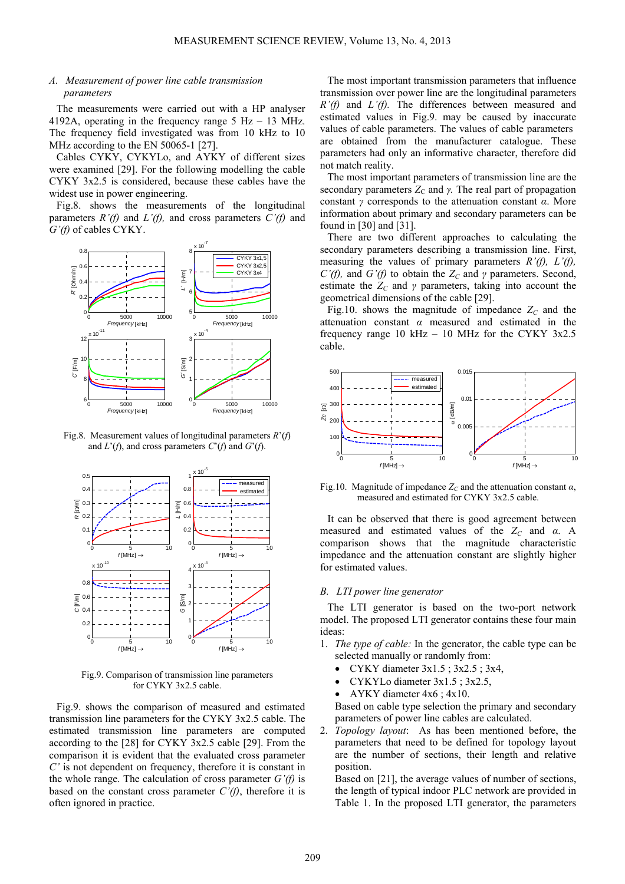## *A. Measurement of power line cable transmission parameters*

The measurements were carried out with a HP analyser 4192A, operating in the frequency range  $5$  Hz  $-$  13 MHz. The frequency field investigated was from 10 kHz to 10 MHz according to the EN 50065-1 [27].

Cables CYKY, CYKYLo, and AYKY of different sizes were examined [29]. For the following modelling the cable CYKY 3x2.5 is considered, because these cables have the widest use in power engineering.

Fig.8. shows the measurements of the longitudinal parameters  $R'(f)$  and  $L'(f)$ , and cross parameters  $C'(f)$  and *G'(f)* of cables CYKY.



Fig.8. Measurement values of longitudinal parameters *R*'(*f*) and  $L'(f)$ , and cross parameters  $C'(f)$  and  $G'(f)$ .



Fig.9. Comparison of transmission line parameters for CYKY 3x2.5 cable.

Fig.9. shows the comparison of measured and estimated transmission line parameters for the CYKY 3x2.5 cable. The estimated transmission line parameters are computed according to the [28] for CYKY 3x2.5 cable [29]. From the comparison it is evident that the evaluated cross parameter *C'* is not dependent on frequency, therefore it is constant in the whole range. The calculation of cross parameter *G'(f)* is based on the constant cross parameter  $C'(f)$ , therefore it is often ignored in practice.

The most important transmission parameters that influence transmission over power line are the longitudinal parameters *R'(f)* and *L'(f).* The differences between measured and estimated values in Fig.9. may be caused by inaccurate values of cable parameters. The values of cable parameters are obtained from the manufacturer catalogue. These parameters had only an informative character, therefore did not match reality.

The most important parameters of transmission line are the secondary parameters  $Z_c$  and *γ*. The real part of propagation constant *γ* corresponds to the attenuation constant *α*. More information about primary and secondary parameters can be found in [30] and [31].

There are two different approaches to calculating the secondary parameters describing a transmission line. First, measuring the values of primary parameters *R'(f), L'(f), C'(f),* and *G'(f)* to obtain the  $Z_c$  and  $\gamma$  parameters. Second, estimate the  $Z_c$  and  $\gamma$  parameters, taking into account the geometrical dimensions of the cable [29].

Fig.10. shows the magnitude of impedance  $Z_c$  and the attenuation constant *α* measured and estimated in the frequency range 10 kHz  $-$  10 MHz for the CYKY 3x2.5 cable.



Fig.10. Magnitude of impedance  $Z_C$  and the attenuation constant  $\alpha$ , measured and estimated for CYKY 3x2.5 cable.

It can be observed that there is good agreement between measured and estimated values of the *Z<sub>C</sub>* and *α*. A comparison shows that the magnitude characteristic impedance and the attenuation constant are slightly higher for estimated values.

## *B. LTI power line generator*

The LTI generator is based on the two-port network model. The proposed LTI generator contains these four main ideas:

- 1. *The type of cable:* In the generator, the cable type can be selected manually or randomly from:
	- CYKY diameter 3x1.5 ; 3x2.5 ; 3x4,
	- CYKYLo diameter  $3x1.5$ ;  $3x2.5$ ,
	- AYKY diameter 4x6 ; 4x10.

Based on cable type selection the primary and secondary parameters of power line cables are calculated.

2. *Topology layout*: As has been mentioned before, the parameters that need to be defined for topology layout are the number of sections, their length and relative position.

Based on [21], the average values of number of sections, the length of typical indoor PLC network are provided in Table 1. In the proposed LTI generator, the parameters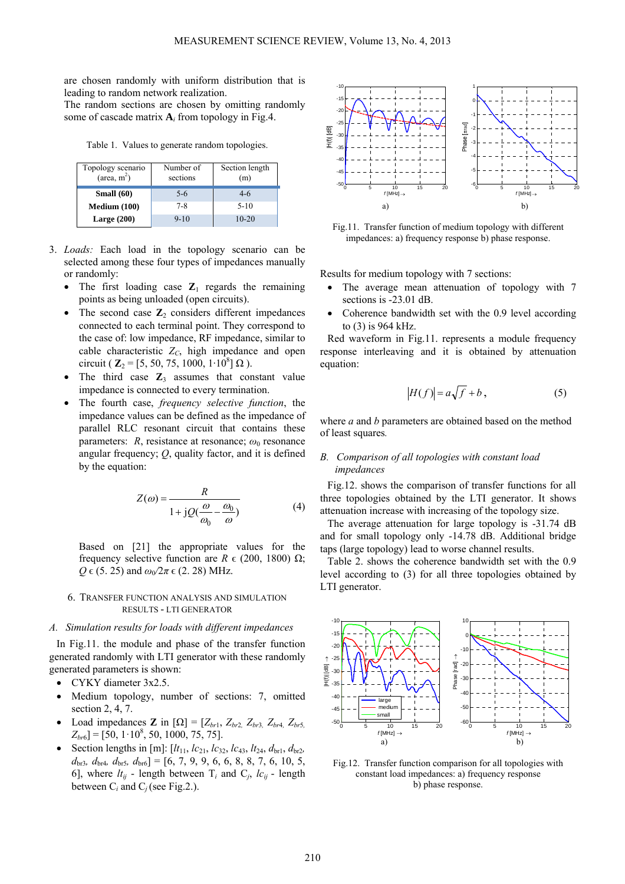are chosen randomly with uniform distribution that is leading to random network realization.

The random sections are chosen by omitting randomly some of cascade matrix  $A_i$  from topology in Fig.4.

Table 1. Values to generate random topologies.

| Topology scenario<br>$(\text{area}, \text{m}^2)$ | Number of<br>sections | Section length<br>(m) |
|--------------------------------------------------|-----------------------|-----------------------|
| Small $(60)$                                     | $5-6$                 | $4-6$                 |
| Medium (100)                                     | 7-8                   | $5-10$                |
| Large $(200)$                                    | $9 - 10$              | $10 - 20$             |

- 3. *Loads:* Each load in the topology scenario can be selected among these four types of impedances manually or randomly:
	- The first loading case  $\mathbb{Z}_1$  regards the remaining points as being unloaded (open circuits).
	- The second case  $\mathbb{Z}_2$  considers different impedances connected to each terminal point. They correspond to the case of: low impedance, RF impedance, similar to cable characteristic  $Z_C$ , high impedance and open circuit ( $\mathbf{Z}_2 = [5, 50, 75, 1000, 1 \cdot 10^8] \Omega$ ).
	- The third case  $\mathbf{Z}_3$  assumes that constant value impedance is connected to every termination.
	- The fourth case, *frequency selective function*, the impedance values can be defined as the impedance of parallel RLC resonant circuit that contains these parameters:  $R$ , resistance at resonance;  $\omega_0$  resonance angular frequency; *Q*, quality factor, and it is defined by the equation:

$$
Z(\omega) = \frac{R}{1 + jQ(\frac{\omega}{\omega_0} - \frac{\omega_0}{\omega})}
$$
(4)

Based on [21] the appropriate values for the frequency selective function are  $R \in (200, 1800)$  Ω;  $Q \in (5, 25)$  and  $\omega_0/2\pi \in (2, 28)$  MHz.

#### 6. TRANSFER FUNCTION ANALYSIS AND SIMULATION RESULTS - LTI GENERATOR

#### *A. Simulation results for loads with different impedances*

In Fig.11. the module and phase of the transfer function generated randomly with LTI generator with these randomly generated parameters is shown:

- CYKY diameter 3x2.5.
- Medium topology, number of sections: 7, omitted section 2, 4, 7.
- Load impedances **Z** in  $[\Omega] = [Z_{br1}, Z_{br2}, Z_{br3}, Z_{br4}, Z_{br5,}$  $Z_{br6}$ ] = [50, 1·10<sup>8</sup>, 50, 1000, 75, 75].
- Section lengths in [m]:  $[lt_{11}, lc_{21}, lc_{32}, lc_{43}, lt_{24}, d_{b11}, d_{b12},$ *d*br3*, d*br4*, d*br5*, d*br6] = [6, 7, 9, 9, 6, 6, 8, 8, 7, 6, 10, 5, 6], where  $lt_{ij}$  - length between  $T_i$  and  $C_j$ ,  $lc_{ij}$  - length between  $C_i$  and  $C_j$  (see Fig.2.).



Fig.11. Transfer function of medium topology with different impedances: a) frequency response b) phase response.

Results for medium topology with 7 sections:

- The average mean attenuation of topology with 7 sections is -23.01 dB.
- Coherence bandwidth set with the 0.9 level according to (3) is 964 kHz.

Red waveform in Fig.11. represents a module frequency response interleaving and it is obtained by attenuation equation:

$$
|H(f)| = a\sqrt{f} + b,\t(5)
$$

where *a* and *b* parameters are obtained based on the method of least squares*.* 

# *B. Comparison of all topologies with constant load impedances*

Fig.12. shows the comparison of transfer functions for all three topologies obtained by the LTI generator. It shows attenuation increase with increasing of the topology size.

The average attenuation for large topology is -31.74 dB and for small topology only -14.78 dB. Additional bridge taps (large topology) lead to worse channel results.

Table 2. shows the coherence bandwidth set with the 0.9 level according to (3) for all three topologies obtained by LTI generator.



Fig.12. Transfer function comparison for all topologies with constant load impedances: a) frequency response b) phase response.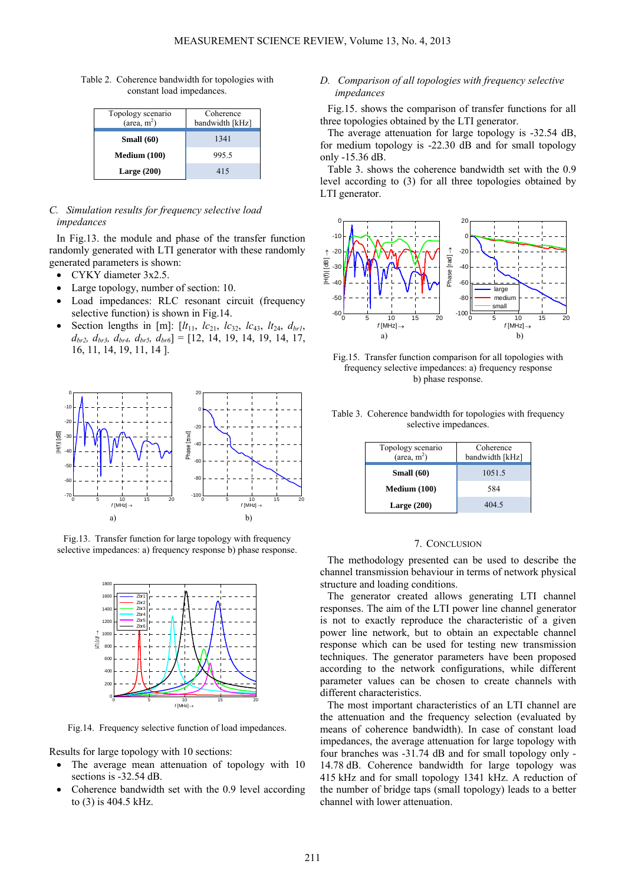Table 2. Coherence bandwidth for topologies with constant load impedances.

| Topology scenario<br>$(\text{area}, \text{m}^2)$ | Coherence<br>bandwidth [kHz] |
|--------------------------------------------------|------------------------------|
| Small $(60)$                                     | 1341                         |
| Medium (100)                                     | 995.5                        |
| Large $(200)$                                    | 415                          |

# *C. Simulation results for frequency selective load impedances*

In Fig.13. the module and phase of the transfer function randomly generated with LTI generator with these randomly generated parameters is shown:

- CYKY diameter 3x2.5.
- Large topology, number of section: 10.
- Load impedances: RLC resonant circuit (frequency selective function) is shown in Fig.14.
- Section lengths in [m]:  $[lt_{11}, \, tc_{21}, \, lc_{32}, \, lc_{43}, \, lt_{24}, \, d_{br1}$  $d_{br2}$ ,  $d_{br3}$ ,  $d_{br4}$ ,  $d_{br5}$ ,  $d_{br6}$ ] = [12, 14, 19, 14, 19, 14, 17, 16, 11, 14, 19, 11, 14 ].



Fig.13. Transfer function for large topology with frequency selective impedances: a) frequency response b) phase response.



Fig.14. Frequency selective function of load impedances.

Results for large topology with 10 sections:

- The average mean attenuation of topology with 10 sections is -32.54 dB.
- Coherence bandwidth set with the 0.9 level according to (3) is 404.5 kHz.

# *D. Comparison of all topologies with frequency selective impedances*

Fig.15. shows the comparison of transfer functions for all three topologies obtained by the LTI generator.

The average attenuation for large topology is -32.54 dB, for medium topology is -22.30 dB and for small topology only -15.36 dB.

Table 3. shows the coherence bandwidth set with the 0.9 level according to (3) for all three topologies obtained by LTI generator.



Fig.15. Transfer function comparison for all topologies with frequency selective impedances: a) frequency response b) phase response.

Table 3. Coherence bandwidth for topologies with frequency selective impedances.

| Topology scenario<br>$(\text{area}, \text{m}^2)$ | Coherence<br>bandwidth [kHz] |
|--------------------------------------------------|------------------------------|
| Small $(60)$                                     | 1051.5                       |
| Medium (100)                                     | 584                          |
| Large $(200)$                                    | 404.5                        |

#### 7. CONCLUSION

The methodology presented can be used to describe the channel transmission behaviour in terms of network physical structure and loading conditions.

The generator created allows generating LTI channel responses. The aim of the LTI power line channel generator is not to exactly reproduce the characteristic of a given power line network, but to obtain an expectable channel response which can be used for testing new transmission techniques. The generator parameters have been proposed according to the network configurations, while different parameter values can be chosen to create channels with different characteristics.

The most important characteristics of an LTI channel are the attenuation and the frequency selection (evaluated by means of coherence bandwidth). In case of constant load impedances, the average attenuation for large topology with four branches was -31.74 dB and for small topology only - 14.78 dB. Coherence bandwidth for large topology was 415 kHz and for small topology 1341 kHz. A reduction of the number of bridge taps (small topology) leads to a better channel with lower attenuation.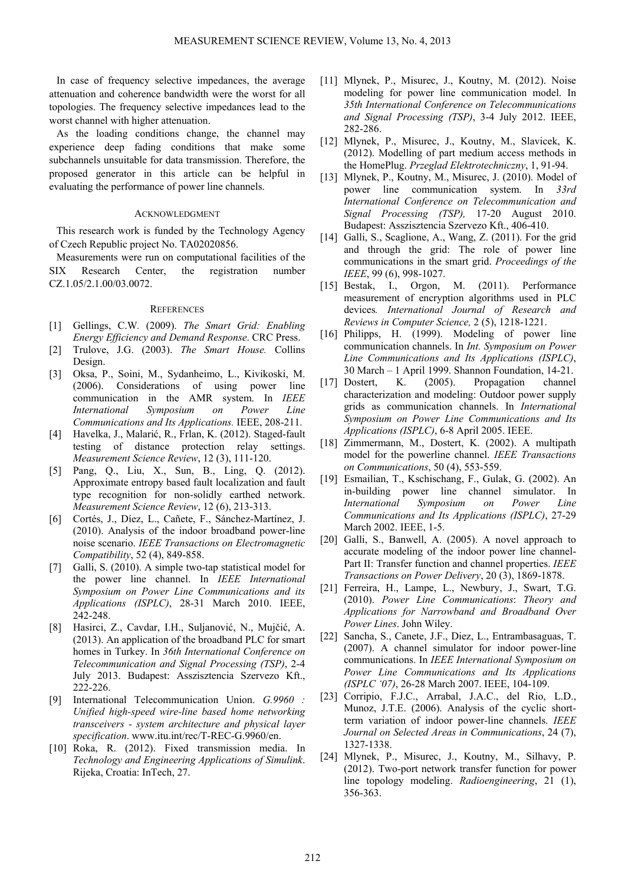In case of frequency selective impedances, the average attenuation and coherence bandwidth were the worst for all topologies. The frequency selective impedances lead to the worst channel with higher attenuation.

As the loading conditions change, the channel may experience deep fading conditions that make some subchannels unsuitable for data transmission. Therefore, the proposed generator in this article can be helpful in evaluating the performance of power line channels.

## ACKNOWLEDGMENT

This research work is funded by the Technology Agency of Czech Republic project No. TA02020856.

Measurements were run on computational facilities of the SIX Research Center, the registration number CZ.1.05/2.1.00/03.0072.

## **REFERENCES**

- [1] Gellings, C.W*.* (2009). *The Smart Grid: Enabling Energy Efficiency and Demand Response*. CRC Press.
- [2] Trulove, J.G. (2003). *The Smart House.* Collins Design.
- [3] Oksa, P., Soini, M., Sydanheimo, L., Kivikoski, M. (2006). Considerations of using power line communication in the AMR system. In *IEEE International Symposium on Power Line Communications and Its Applications.* IEEE, 208-211.
- [4] Havelka, J., Malarić, R., Frlan, K. (2012). Staged-fault testing of distance protection relay settings. *Measurement Science Review*, 12 (3), 111-120.
- [5] Pang, Q., Liu, X., Sun, B., Ling, Q. (2012). Approximate entropy based fault localization and fault type recognition for non-solidly earthed network. *Measurement Science Review*, 12 (6), 213-313.
- [6] Cortés, J., Díez, L., Cañete, F., Sánchez-Martínez, J. (2010). Analysis of the indoor broadband power-line noise scenario. *IEEE Transactions on Electromagnetic Compatibility*, 52 (4), 849-858.
- [7] Galli, S. (2010). A simple two-tap statistical model for the power line channel. In *IEEE International Symposium on Power Line Communications and its Applications (ISPLC)*, 28-31 March 2010. IEEE, 242-248.
- [8] Hasirci, Z., Cavdar, I.H., Suljanović, N., Mujčić, A. (2013). An application of the broadband PLC for smart homes in Turkey. In *36th International Conference on Telecommunication and Signal Processing (TSP)*, 2-4 July 2013. Budapest: Asszisztencia Szervezo Kft., 222-226.
- [9] International Telecommunication Union. *G.9960 : Unified high-speed wire-line based home networking transceivers - system architecture and physical layer specification*. www.itu.int/rec/T-REC-G.9960/en.
- [10] Roka, R. (2012). Fixed transmission media. In *Technology and Engineering Applications of Simulink*. Rijeka, Croatia: InTech, 27.
- [11] Mlynek, P., Misurec, J., Koutny, M. (2012). Noise modeling for power line communication model. In *35th International Conference on Telecommunications and Signal Processing (TSP)*, 3-4 July 2012. IEEE, 282-286.
- [12] Mlynek, P., Misurec, J., Koutny, M., Slavicek, K. (2012). Modelling of part medium access methods in the HomePlug. *Przeglad Elektrotechniczny*, 1, 91-94.
- [13] Mlynek, P., Koutny, M., Misurec, J. (2010). Model of power line communication system. In *33rd International Conference on Telecommunication and Signal Processing (TSP),* 17-20 August 2010. Budapest: Asszisztencia Szervezo Kft., 406-410.
- [14] Galli, S., Scaglione, A., Wang, Z. (2011). For the grid and through the grid: The role of power line communications in the smart grid. *Proceedings of the IEEE*, 99 (6), 998-1027.
- [15] Bestak, I., Orgon, M. (2011). Performance measurement of encryption algorithms used in PLC devices*. International Journal of Research and Reviews in Computer Science,* 2 (5), 1218-1221.
- [16] Philipps, H. (1999). Modeling of power line communication channels. In *Int. Symposium on Power Line Communications and Its Applications (ISPLC)*, 30 March – 1 April 1999. Shannon Foundation, 14-21.
- [17] Dostert, K. (2005). Propagation channel characterization and modeling: Outdoor power supply grids as communication channels. In *International Symposium on Power Line Communications and Its Applications (ISPLC)*, 6-8 April 2005. IEEE.
- [18] Zimmermann, M., Dostert, K. (2002). A multipath model for the powerline channel. *IEEE Transactions on Communications*, 50 (4), 553-559.
- [19] Esmailian, T., Kschischang, F., Gulak, G. (2002). An in-building power line channel simulator. In *International Symposium on Power Line Communications and Its Applications (ISPLC)*, 27-29 March 2002. IEEE, 1-5.
- [20] Galli, S., Banwell, A. (2005). A novel approach to accurate modeling of the indoor power line channel-Part II: Transfer function and channel properties. *IEEE Transactions on Power Delivery*, 20 (3), 1869-1878.
- [21] Ferreira, H., Lampe, L., Newbury, J., Swart, T.G. (2010). *Power Line Communications*: *Theory and Applications for Narrowband and Broadband Over Power Lines*. John Wiley.
- [22] Sancha, S., Canete, J.F., Diez, L., Entrambasaguas, T. (2007). A channel simulator for indoor power-line communications. In *IEEE International Symposium on Power Line Communications and Its Applications (ISPLC '07)*, 26-28 March 2007. IEEE, 104-109.
- [23] Corripio, F.J.C., Arrabal, J.A.C., del Rio, L.D., Munoz, J.T.E. (2006). Analysis of the cyclic shortterm variation of indoor power-line channels. *IEEE Journal on Selected Areas in Communications*, 24 (7), 1327-1338.
- [24] Mlynek, P., Misurec, J., Koutny, M., Silhavy, P. (2012). Two-port network transfer function for power line topology modeling. *Radioengineering*, 21 (1), 356-363.